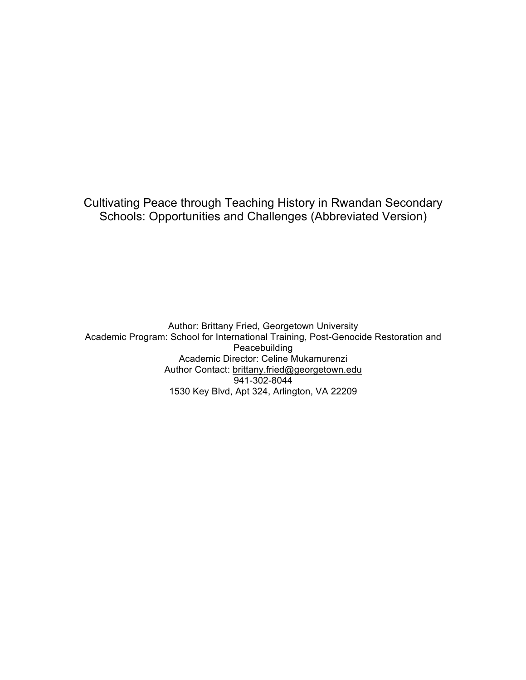Cultivating Peace through Teaching History in Rwandan Secondary Schools: Opportunities and Challenges (Abbreviated Version)

Author: Brittany Fried, Georgetown University Academic Program: School for International Training, Post-Genocide Restoration and Peacebuilding Academic Director: Celine Mukamurenzi Author Contact: brittany.fried@georgetown.edu 941-302-8044 1530 Key Blvd, Apt 324, Arlington, VA 22209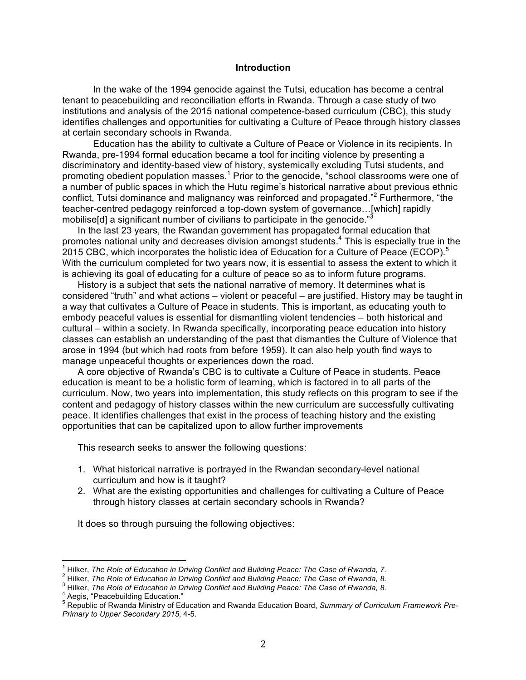#### **Introduction**

In the wake of the 1994 genocide against the Tutsi, education has become a central tenant to peacebuilding and reconciliation efforts in Rwanda. Through a case study of two institutions and analysis of the 2015 national competence-based curriculum (CBC), this study identifies challenges and opportunities for cultivating a Culture of Peace through history classes at certain secondary schools in Rwanda.

Education has the ability to cultivate a Culture of Peace or Violence in its recipients. In Rwanda, pre-1994 formal education became a tool for inciting violence by presenting a discriminatory and identity-based view of history, systemically excluding Tutsi students, and promoting obedient population masses.<sup>1</sup> Prior to the genocide, "school classrooms were one of a number of public spaces in which the Hutu regime's historical narrative about previous ethnic conflict, Tutsi dominance and malignancy was reinforced and propagated."<sup>2</sup> Furthermore, "the teacher-centred pedagogy reinforced a top-down system of governance…[which] rapidly mobilise[d] a significant number of civilians to participate in the genocide."<sup>3</sup>

In the last 23 years, the Rwandan government has propagated formal education that promotes national unity and decreases division amongst students.<sup>4</sup> This is especially true in the 2015 CBC, which incorporates the holistic idea of Education for a Culture of Peace (ECOP).<sup>5</sup> With the curriculum completed for two years now, it is essential to assess the extent to which it is achieving its goal of educating for a culture of peace so as to inform future programs.

History is a subject that sets the national narrative of memory. It determines what is considered "truth" and what actions – violent or peaceful – are justified. History may be taught in a way that cultivates a Culture of Peace in students. This is important, as educating youth to embody peaceful values is essential for dismantling violent tendencies – both historical and cultural – within a society. In Rwanda specifically, incorporating peace education into history classes can establish an understanding of the past that dismantles the Culture of Violence that arose in 1994 (but which had roots from before 1959). It can also help youth find ways to manage unpeaceful thoughts or experiences down the road.

A core objective of Rwanda's CBC is to cultivate a Culture of Peace in students. Peace education is meant to be a holistic form of learning, which is factored in to all parts of the curriculum. Now, two years into implementation, this study reflects on this program to see if the content and pedagogy of history classes within the new curriculum are successfully cultivating peace. It identifies challenges that exist in the process of teaching history and the existing opportunities that can be capitalized upon to allow further improvements

This research seeks to answer the following questions:

- 1. What historical narrative is portrayed in the Rwandan secondary-level national curriculum and how is it taught?
- 2. What are the existing opportunities and challenges for cultivating a Culture of Peace through history classes at certain secondary schools in Rwanda?

It does so through pursuing the following objectives:

<sup>&</sup>lt;sup>1</sup> Hilker, The Role of Education in Driving Conflict and Building Peace: The Case of Rwanda, 7.<br><sup>2</sup> Hilker, The Role of Education in Driving Conflict and Building Peace: The Case of Rwanda, 8.<br><sup>3</sup> Hilker, The Role of Edu *Primary to Upper Secondary 2015*, 4-5.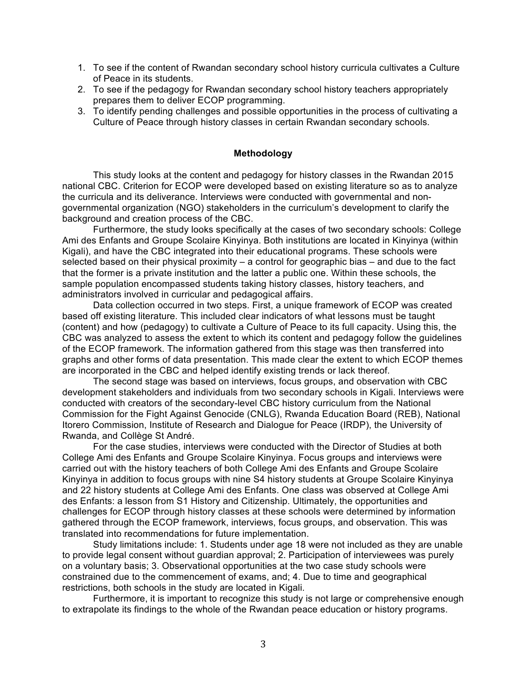- 1. To see if the content of Rwandan secondary school history curricula cultivates a Culture of Peace in its students.
- 2. To see if the pedagogy for Rwandan secondary school history teachers appropriately prepares them to deliver ECOP programming.
- 3. To identify pending challenges and possible opportunities in the process of cultivating a Culture of Peace through history classes in certain Rwandan secondary schools.

## **Methodology**

This study looks at the content and pedagogy for history classes in the Rwandan 2015 national CBC. Criterion for ECOP were developed based on existing literature so as to analyze the curricula and its deliverance. Interviews were conducted with governmental and nongovernmental organization (NGO) stakeholders in the curriculum's development to clarify the background and creation process of the CBC.

Furthermore, the study looks specifically at the cases of two secondary schools: College Ami des Enfants and Groupe Scolaire Kinyinya. Both institutions are located in Kinyinya (within Kigali), and have the CBC integrated into their educational programs. These schools were selected based on their physical proximity – a control for geographic bias – and due to the fact that the former is a private institution and the latter a public one. Within these schools, the sample population encompassed students taking history classes, history teachers, and administrators involved in curricular and pedagogical affairs.

Data collection occurred in two steps. First, a unique framework of ECOP was created based off existing literature. This included clear indicators of what lessons must be taught (content) and how (pedagogy) to cultivate a Culture of Peace to its full capacity. Using this, the CBC was analyzed to assess the extent to which its content and pedagogy follow the guidelines of the ECOP framework. The information gathered from this stage was then transferred into graphs and other forms of data presentation. This made clear the extent to which ECOP themes are incorporated in the CBC and helped identify existing trends or lack thereof.

The second stage was based on interviews, focus groups, and observation with CBC development stakeholders and individuals from two secondary schools in Kigali. Interviews were conducted with creators of the secondary-level CBC history curriculum from the National Commission for the Fight Against Genocide (CNLG), Rwanda Education Board (REB), National Itorero Commission, Institute of Research and Dialogue for Peace (IRDP), the University of Rwanda, and Collège St André.

For the case studies, interviews were conducted with the Director of Studies at both College Ami des Enfants and Groupe Scolaire Kinyinya. Focus groups and interviews were carried out with the history teachers of both College Ami des Enfants and Groupe Scolaire Kinyinya in addition to focus groups with nine S4 history students at Groupe Scolaire Kinyinya and 22 history students at College Ami des Enfants. One class was observed at College Ami des Enfants: a lesson from S1 History and Citizenship. Ultimately, the opportunities and challenges for ECOP through history classes at these schools were determined by information gathered through the ECOP framework, interviews, focus groups, and observation. This was translated into recommendations for future implementation.

Study limitations include: 1. Students under age 18 were not included as they are unable to provide legal consent without guardian approval; 2. Participation of interviewees was purely on a voluntary basis; 3. Observational opportunities at the two case study schools were constrained due to the commencement of exams, and; 4. Due to time and geographical restrictions, both schools in the study are located in Kigali.

Furthermore, it is important to recognize this study is not large or comprehensive enough to extrapolate its findings to the whole of the Rwandan peace education or history programs.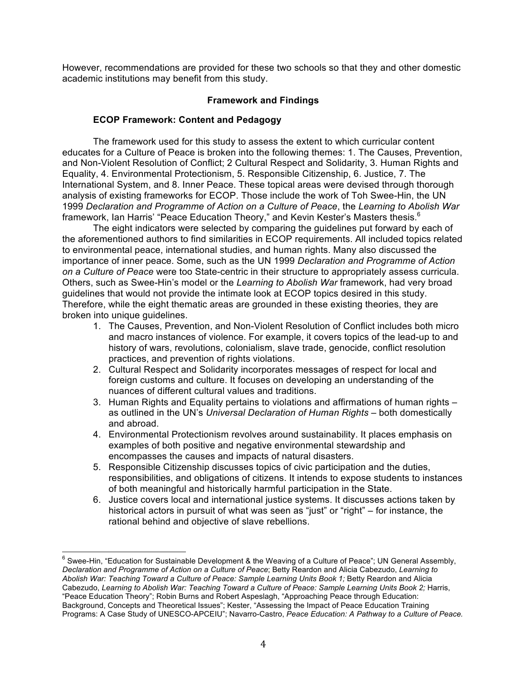However, recommendations are provided for these two schools so that they and other domestic academic institutions may benefit from this study.

## **Framework and Findings**

# **ECOP Framework: Content and Pedagogy**

The framework used for this study to assess the extent to which curricular content educates for a Culture of Peace is broken into the following themes: 1. The Causes, Prevention, and Non-Violent Resolution of Conflict; 2 Cultural Respect and Solidarity, 3. Human Rights and Equality, 4. Environmental Protectionism, 5. Responsible Citizenship, 6. Justice, 7. The International System, and 8. Inner Peace. These topical areas were devised through thorough analysis of existing frameworks for ECOP. Those include the work of Toh Swee-Hin, the UN 1999 *Declaration and Programme of Action on a Culture of Peace*, the *Learning to Abolish War* framework, Ian Harris' "Peace Education Theory," and Kevin Kester's Masters thesis.<sup>6</sup>

The eight indicators were selected by comparing the guidelines put forward by each of the aforementioned authors to find similarities in ECOP requirements. All included topics related to environmental peace, international studies, and human rights. Many also discussed the importance of inner peace. Some, such as the UN 1999 *Declaration and Programme of Action on a Culture of Peace* were too State-centric in their structure to appropriately assess curricula. Others, such as Swee-Hin's model or the *Learning to Abolish War* framework, had very broad guidelines that would not provide the intimate look at ECOP topics desired in this study. Therefore, while the eight thematic areas are grounded in these existing theories, they are broken into unique guidelines.

- 1. The Causes, Prevention, and Non-Violent Resolution of Conflict includes both micro and macro instances of violence. For example, it covers topics of the lead-up to and history of wars, revolutions, colonialism, slave trade, genocide, conflict resolution practices, and prevention of rights violations.
- 2. Cultural Respect and Solidarity incorporates messages of respect for local and foreign customs and culture. It focuses on developing an understanding of the nuances of different cultural values and traditions.
- 3. Human Rights and Equality pertains to violations and affirmations of human rights as outlined in the UN's *Universal Declaration of Human Rights* – both domestically and abroad.
- 4. Environmental Protectionism revolves around sustainability. It places emphasis on examples of both positive and negative environmental stewardship and encompasses the causes and impacts of natural disasters.
- 5. Responsible Citizenship discusses topics of civic participation and the duties, responsibilities, and obligations of citizens. It intends to expose students to instances of both meaningful and historically harmful participation in the State.
- 6. Justice covers local and international justice systems. It discusses actions taken by historical actors in pursuit of what was seen as "just" or "right" – for instance, the rational behind and objective of slave rebellions.

 $6$  Swee-Hin, "Education for Sustainable Development & the Weaving of a Culture of Peace"; UN General Assembly, *Declaration and Programme of Action on a Culture of Peace*; Betty Reardon and Alicia Cabezudo, *Learning to Abolish War: Teaching Toward a Culture of Peace: Sample Learning Units Book 1;* Betty Reardon and Alicia Cabezudo, Learning to Abolish War: Teaching Toward a Culture of Peace: Sample Learning Units Book 2; Harris, "Peace Education Theory"; Robin Burns and Robert Aspeslagh, "Approaching Peace through Education: Background, Concepts and Theoretical Issues"; Kester, "Assessing the Impact of Peace Education Training Programs: A Case Study of UNESCO-APCEIU"; Navarro-Castro, *Peace Education: A Pathway to a Culture of Peace.*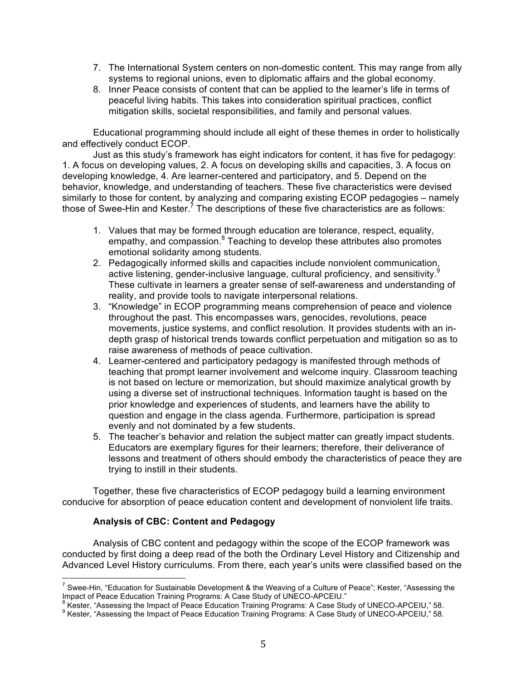- 7. The International System centers on non-domestic content. This may range from ally systems to regional unions, even to diplomatic affairs and the global economy.
- 8. Inner Peace consists of content that can be applied to the learner's life in terms of peaceful living habits. This takes into consideration spiritual practices, conflict mitigation skills, societal responsibilities, and family and personal values.

Educational programming should include all eight of these themes in order to holistically and effectively conduct ECOP.

Just as this study's framework has eight indicators for content, it has five for pedagogy: 1. A focus on developing values, 2. A focus on developing skills and capacities, 3. A focus on developing knowledge, 4. Are learner-centered and participatory, and 5. Depend on the behavior, knowledge, and understanding of teachers. These five characteristics were devised similarly to those for content, by analyzing and comparing existing ECOP pedagogies – namely those of Swee-Hin and Kester. $^7$  The descriptions of these five characteristics are as follows:

- 1. Values that may be formed through education are tolerance, respect, equality, empathy, and compassion.<sup>8</sup> Teaching to develop these attributes also promotes emotional solidarity among students.
- 2. Pedagogically informed skills and capacities include nonviolent communication, active listening, gender-inclusive language, cultural proficiency, and sensitivity.<sup>9</sup> These cultivate in learners a greater sense of self-awareness and understanding of reality, and provide tools to navigate interpersonal relations.
- 3. "Knowledge" in ECOP programming means comprehension of peace and violence throughout the past. This encompasses wars, genocides, revolutions, peace movements, justice systems, and conflict resolution. It provides students with an indepth grasp of historical trends towards conflict perpetuation and mitigation so as to raise awareness of methods of peace cultivation.
- 4. Learner-centered and participatory pedagogy is manifested through methods of teaching that prompt learner involvement and welcome inquiry. Classroom teaching is not based on lecture or memorization, but should maximize analytical growth by using a diverse set of instructional techniques. Information taught is based on the prior knowledge and experiences of students, and learners have the ability to question and engage in the class agenda. Furthermore, participation is spread evenly and not dominated by a few students.
- 5. The teacher's behavior and relation the subject matter can greatly impact students. Educators are exemplary figures for their learners; therefore, their deliverance of lessons and treatment of others should embody the characteristics of peace they are trying to instill in their students.

Together, these five characteristics of ECOP pedagogy build a learning environment conducive for absorption of peace education content and development of nonviolent life traits.

# **Analysis of CBC: Content and Pedagogy**

Analysis of CBC content and pedagogy within the scope of the ECOP framework was conducted by first doing a deep read of the both the Ordinary Level History and Citizenship and Advanced Level History curriculums. From there, each year's units were classified based on the

<sup>&</sup>lt;sup>7</sup> Swee-Hin, "Education for Sustainable Development & the Weaving of a Culture of Peace"; Kester, "Assessing the Impact of Peace Education Training Programs: A Case Study of UNECO-APCEIU."<br><sup>8</sup> Kester, "Assessing the Impa

<sup>&</sup>lt;sup>8</sup> Kester, "Assessing the Impact of Peace Education Training Programs: A Case Study of UNECO-APCEIU," 58.<br><sup>9</sup> Kester, "Assessing the Impact of Peace Education Training Programs: A Case Study of UNECO-APCEIU," 58.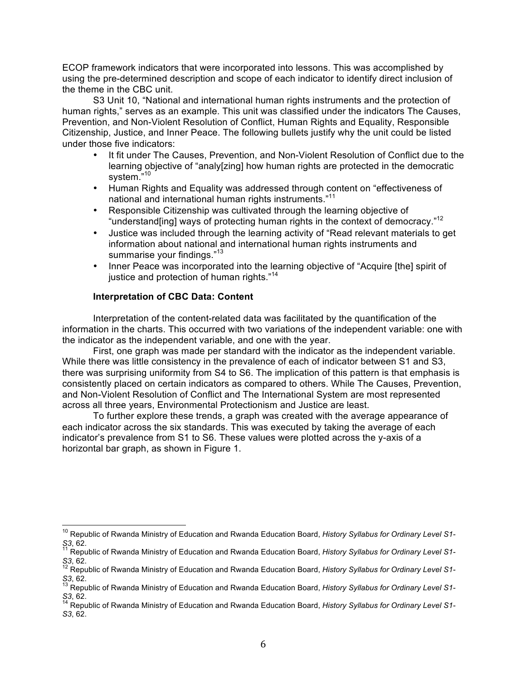ECOP framework indicators that were incorporated into lessons. This was accomplished by using the pre-determined description and scope of each indicator to identify direct inclusion of the theme in the CBC unit.

S3 Unit 10, "National and international human rights instruments and the protection of human rights," serves as an example. This unit was classified under the indicators The Causes, Prevention, and Non-Violent Resolution of Conflict, Human Rights and Equality, Responsible Citizenship, Justice, and Inner Peace. The following bullets justify why the unit could be listed under those five indicators:

- It fit under The Causes, Prevention, and Non-Violent Resolution of Conflict due to the learning objective of "analy[zing] how human rights are protected in the democratic system."<sup>10</sup>
- Human Rights and Equality was addressed through content on "effectiveness of national and international human rights instruments."<sup>11</sup>
- Responsible Citizenship was cultivated through the learning objective of "understand[ing] ways of protecting human rights in the context of democracy."<sup>12</sup>
- Justice was included through the learning activity of "Read relevant materials to get information about national and international human rights instruments and summarise your findings."<sup>13</sup>
- Inner Peace was incorporated into the learning objective of "Acquire [the] spirit of justice and protection of human rights."<sup>14</sup>

# **Interpretation of CBC Data: Content**

Interpretation of the content-related data was facilitated by the quantification of the information in the charts. This occurred with two variations of the independent variable: one with the indicator as the independent variable, and one with the year.

First, one graph was made per standard with the indicator as the independent variable. While there was little consistency in the prevalence of each of indicator between S1 and S3, there was surprising uniformity from S4 to S6. The implication of this pattern is that emphasis is consistently placed on certain indicators as compared to others. While The Causes, Prevention, and Non-Violent Resolution of Conflict and The International System are most represented across all three years, Environmental Protectionism and Justice are least.

To further explore these trends, a graph was created with the average appearance of each indicator across the six standards. This was executed by taking the average of each indicator's prevalence from S1 to S6. These values were plotted across the y-axis of a horizontal bar graph, as shown in Figure 1.

<sup>&</sup>lt;sup>10</sup> Republic of Rwanda Ministry of Education and Rwanda Education Board, *History Syllabus for Ordinary Level S1*-<br>S3, 62.

*S3*, 62. <sup>11</sup> Republic of Rwanda Ministry of Education and Rwanda Education Board, *History Syllabus for Ordinary Level S1-*

*S3*, 62.<br><sup>12</sup> Republic of Rwanda Ministry of Education and Rwanda Education Board, *History Syllabus for Ordinary Level S1*-

*S3*, 62.<br><sup>13</sup> Republic of Rwanda Ministry of Education and Rwanda Education Board, *History Syllabus for Ordinary Level S1*-<br>*S3*, 62.<br><sup>14</sup> Republic of Rwanda Ministry of Education and Rwanda Education Board, *History Syl* 

*S3*, 62. <sup>14</sup> Republic of Rwanda Ministry of Education and Rwanda Education Board, *History Syllabus for Ordinary Level S1- S3*, 62.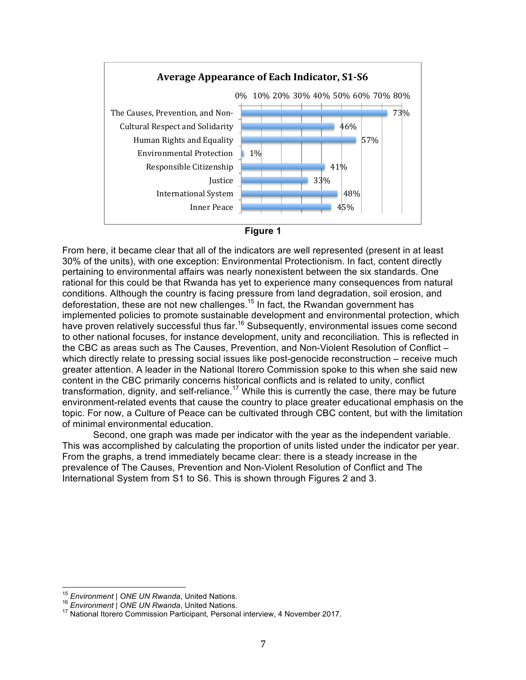



From here, it became clear that all of the indicators are well represented (present in at least 30% of the units), with one exception: Environmental Protectionism. In fact, content directly pertaining to environmental affairs was nearly nonexistent between the six standards. One rational for this could be that Rwanda has yet to experience many consequences from natural conditions. Although the country is facing pressure from land degradation, soil erosion, and deforestation, these are not new challenges.15 In fact, the Rwandan government has implemented policies to promote sustainable development and environmental protection, which have proven relatively successful thus far.<sup>16</sup> Subsequently, environmental issues come second to other national focuses, for instance development, unity and reconciliation. This is reflected in the CBC as areas such as The Causes, Prevention, and Non-Violent Resolution of Conflict – which directly relate to pressing social issues like post-genocide reconstruction – receive much greater attention. A leader in the National Itorero Commission spoke to this when she said new content in the CBC primarily concerns historical conflicts and is related to unity, conflict transformation, dignity, and self-reliance.<sup>17</sup> While this is currently the case, there may be future environment-related events that cause the country to place greater educational emphasis on the topic. For now, a Culture of Peace can be cultivated through CBC content, but with the limitation of minimal environmental education.

Second, one graph was made per indicator with the year as the independent variable. This was accomplished by calculating the proportion of units listed under the indicator per year. From the graphs, a trend immediately became clear: there is a steady increase in the prevalence of The Causes, Prevention and Non-Violent Resolution of Conflict and The International System from S1 to S6. This is shown through Figures 2 and 3.

<sup>&</sup>lt;sup>15</sup> *Environment | ONE UN Rwanda*, United Nations.<br><sup>16</sup> *Environment | ONE UN Rwanda*, United Nations.<br><sup>17</sup> National Itorero Commission Participant, Personal interview, 4 November 2017.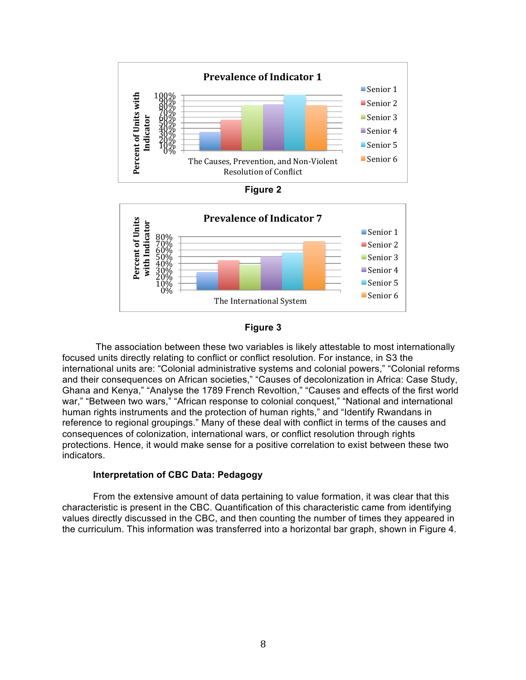







The association between these two variables is likely attestable to most internationally focused units directly relating to conflict or conflict resolution. For instance, in S3 the international units are: "Colonial administrative systems and colonial powers," "Colonial reforms and their consequences on African societies," "Causes of decolonization in Africa: Case Study, Ghana and Kenya," "Analyse the 1789 French Revoltion," "Causes and effects of the first world war," "Between two wars," "African response to colonial conquest," "National and international human rights instruments and the protection of human rights," and "Identify Rwandans in reference to regional groupings." Many of these deal with conflict in terms of the causes and consequences of colonization, international wars, or conflict resolution through rights protections. Hence, it would make sense for a positive correlation to exist between these two indicators.

## **Interpretation of CBC Data: Pedagogy**

From the extensive amount of data pertaining to value formation, it was clear that this characteristic is present in the CBC. Quantification of this characteristic came from identifying values directly discussed in the CBC, and then counting the number of times they appeared in the curriculum. This information was transferred into a horizontal bar graph, shown in Figure 4.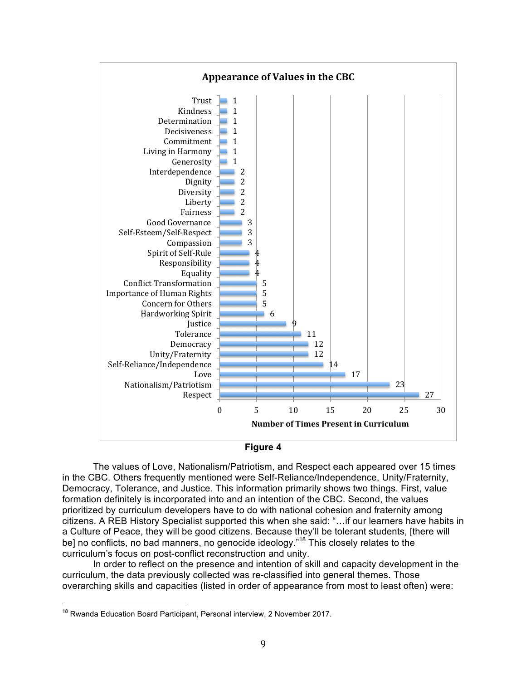



The values of Love, Nationalism/Patriotism, and Respect each appeared over 15 times in the CBC. Others frequently mentioned were Self-Reliance/Independence, Unity/Fraternity, Democracy, Tolerance, and Justice. This information primarily shows two things. First, value formation definitely is incorporated into and an intention of the CBC. Second, the values prioritized by curriculum developers have to do with national cohesion and fraternity among citizens. A REB History Specialist supported this when she said: "…if our learners have habits in a Culture of Peace, they will be good citizens. Because they'll be tolerant students, [there will be] no conflicts, no bad manners, no genocide ideology."<sup>18</sup> This closely relates to the curriculum's focus on post-conflict reconstruction and unity.

In order to reflect on the presence and intention of skill and capacity development in the curriculum, the data previously collected was re-classified into general themes. Those overarching skills and capacities (listed in order of appearance from most to least often) were:

<sup>&</sup>lt;sup>18</sup> Rwanda Education Board Participant, Personal interview, 2 November 2017.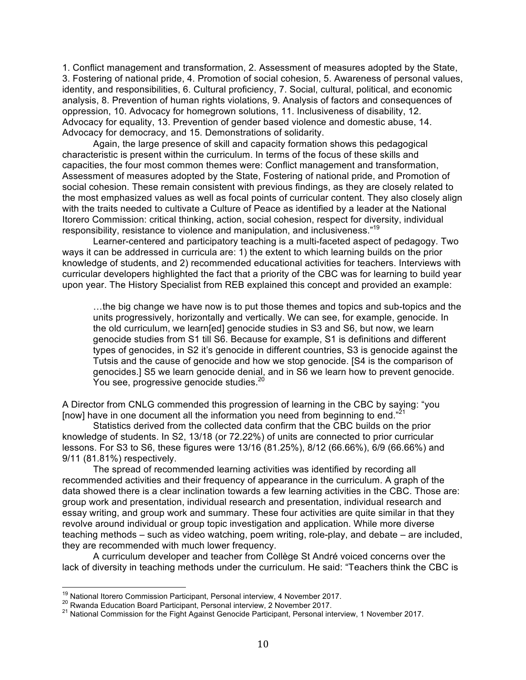1. Conflict management and transformation, 2. Assessment of measures adopted by the State, 3. Fostering of national pride, 4. Promotion of social cohesion, 5. Awareness of personal values, identity, and responsibilities, 6. Cultural proficiency, 7. Social, cultural, political, and economic analysis, 8. Prevention of human rights violations, 9. Analysis of factors and consequences of oppression, 10. Advocacy for homegrown solutions, 11. Inclusiveness of disability, 12. Advocacy for equality, 13. Prevention of gender based violence and domestic abuse, 14. Advocacy for democracy, and 15. Demonstrations of solidarity.

Again, the large presence of skill and capacity formation shows this pedagogical characteristic is present within the curriculum. In terms of the focus of these skills and capacities, the four most common themes were: Conflict management and transformation, Assessment of measures adopted by the State, Fostering of national pride, and Promotion of social cohesion. These remain consistent with previous findings, as they are closely related to the most emphasized values as well as focal points of curricular content. They also closely align with the traits needed to cultivate a Culture of Peace as identified by a leader at the National Itorero Commission: critical thinking, action, social cohesion, respect for diversity, individual responsibility, resistance to violence and manipulation, and inclusiveness."19

Learner-centered and participatory teaching is a multi-faceted aspect of pedagogy. Two ways it can be addressed in curricula are: 1) the extent to which learning builds on the prior knowledge of students, and 2) recommended educational activities for teachers. Interviews with curricular developers highlighted the fact that a priority of the CBC was for learning to build year upon year. The History Specialist from REB explained this concept and provided an example:

…the big change we have now is to put those themes and topics and sub-topics and the units progressively, horizontally and vertically. We can see, for example, genocide. In the old curriculum, we learn[ed] genocide studies in S3 and S6, but now, we learn genocide studies from S1 till S6. Because for example, S1 is definitions and different types of genocides, in S2 it's genocide in different countries, S3 is genocide against the Tutsis and the cause of genocide and how we stop genocide. [S4 is the comparison of genocides.] S5 we learn genocide denial, and in S6 we learn how to prevent genocide. You see, progressive genocide studies.<sup>20</sup>

A Director from CNLG commended this progression of learning in the CBC by saying: "you [now] have in one document all the information you need from beginning to end."<sup>21</sup>

Statistics derived from the collected data confirm that the CBC builds on the prior knowledge of students. In S2, 13/18 (or 72.22%) of units are connected to prior curricular lessons. For S3 to S6, these figures were 13/16 (81.25%), 8/12 (66.66%), 6/9 (66.66%) and 9/11 (81.81%) respectively.

The spread of recommended learning activities was identified by recording all recommended activities and their frequency of appearance in the curriculum. A graph of the data showed there is a clear inclination towards a few learning activities in the CBC. Those are: group work and presentation, individual research and presentation, individual research and essay writing, and group work and summary. These four activities are quite similar in that they revolve around individual or group topic investigation and application. While more diverse teaching methods – such as video watching, poem writing, role-play, and debate – are included, they are recommended with much lower frequency.

A curriculum developer and teacher from Collège St André voiced concerns over the lack of diversity in teaching methods under the curriculum. He said: "Teachers think the CBC is

<sup>&</sup>lt;sup>19</sup> National Itorero Commission Participant, Personal interview, 4 November 2017.<br><sup>20</sup> Rwanda Education Board Participant, Personal interview, 2 November 2017.<br><sup>21</sup> National Commission for the Fight Against Genocide Part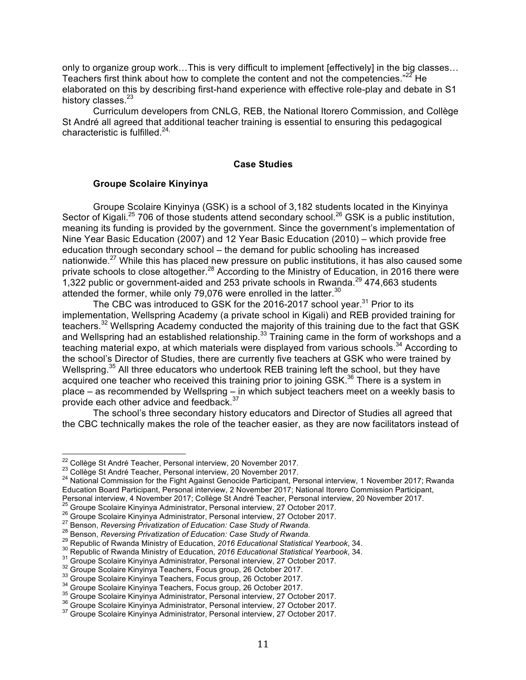only to organize group work…This is very difficult to implement [effectively] in the big classes… Teachers first think about how to complete the content and not the competencies." $22$  He elaborated on this by describing first-hand experience with effective role-play and debate in S1 history classes.<sup>23</sup>

Curriculum developers from CNLG, REB, the National Itorero Commission, and Collège St André all agreed that additional teacher training is essential to ensuring this pedagogical characteristic is fulfilled. $24$ ,

#### **Case Studies**

## **Groupe Scolaire Kinyinya**

Groupe Scolaire Kinyinya (GSK) is a school of 3,182 students located in the Kinyinya Sector of Kigali.<sup>25</sup> 706 of those students attend secondary school.<sup>26</sup> GSK is a public institution, meaning its funding is provided by the government. Since the government's implementation of Nine Year Basic Education (2007) and 12 Year Basic Education (2010) – which provide free education through secondary school – the demand for public schooling has increased nationwide.<sup>27</sup> While this has placed new pressure on public institutions, it has also caused some private schools to close altogether.<sup>28</sup> According to the Ministry of Education, in 2016 there were 1,322 public or government-aided and 253 private schools in Rwanda.<sup>29</sup> 474,663 students attended the former, while only 79,076 were enrolled in the latter. $30$ 

The CBC was introduced to GSK for the 2016-2017 school year.<sup>31</sup> Prior to its implementation, Wellspring Academy (a private school in Kigali) and REB provided training for teachers.<sup>32</sup> Wellspring Academy conducted the majority of this training due to the fact that GSK and Wellspring had an established relationship.<sup>33</sup> Training came in the form of workshops and a teaching material expo, at which materials were displayed from various schools.<sup>34</sup> According to the school's Director of Studies, there are currently five teachers at GSK who were trained by Wellspring.<sup>35</sup> All three educators who undertook REB training left the school, but they have acquired one teacher who received this training prior to joining GSK.<sup>36</sup> There is a system in place – as recommended by Wellspring – in which subject teachers meet on a weekly basis to provide each other advice and feedback.<sup>37</sup>

The school's three secondary history educators and Director of Studies all agreed that the CBC technically makes the role of the teacher easier, as they are now facilitators instead of

<sup>&</sup>lt;sup>22</sup> Collège St André Teacher, Personal interview, 20 November 2017.<br><sup>23</sup> Collège St André Teacher, Personal interview, 20 November 2017.<br><sup>24</sup> National Commission for the Fight Against Genocide Participant, Personal inter Education Board Participant, Personal interview, 2 November 2017; National Itorero Commission Participant,<br>Personal interview, 4 November 2017; Collège St André Teacher, Personal interview, 20 November 2017. Personal interview, 4 November 2017; Collège St André Teacher, Personal interview, 20 November 2017.<br><sup>26</sup> Groupe Scolaire Kinyinya Administrator, Personal interview, 27 October 2017.<br><sup>26</sup> Groupe Scolaire Kinyinya Administr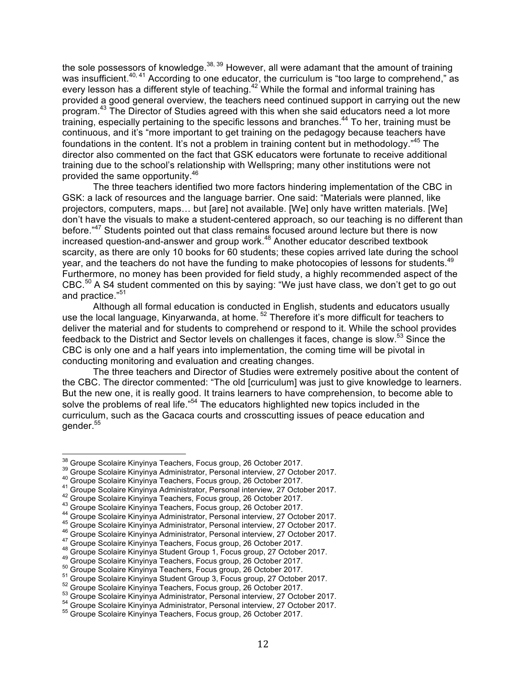the sole possessors of knowledge.<sup>38, 39</sup> However, all were adamant that the amount of training was insufficient.<sup>40, 41</sup> According to one educator, the curriculum is "too large to comprehend," as every lesson has a different style of teaching.<sup>42</sup> While the formal and informal training has provided a good general overview, the teachers need continued support in carrying out the new program.43 The Director of Studies agreed with this when she said educators need a lot more training, especially pertaining to the specific lessons and branches.<sup>44</sup> To her, training must be continuous, and it's "more important to get training on the pedagogy because teachers have foundations in the content. It's not a problem in training content but in methodology."<sup>45</sup> The director also commented on the fact that GSK educators were fortunate to receive additional training due to the school's relationship with Wellspring; many other institutions were not provided the same opportunity.46

The three teachers identified two more factors hindering implementation of the CBC in GSK: a lack of resources and the language barrier. One said: "Materials were planned, like projectors, computers, maps… but [are] not available. [We] only have written materials. [We] don't have the visuals to make a student-centered approach, so our teaching is no different than before."<sup>47</sup> Students pointed out that class remains focused around lecture but there is now increased question-and-answer and group work.<sup>48</sup> Another educator described textbook scarcity, as there are only 10 books for 60 students; these copies arrived late during the school year, and the teachers do not have the funding to make photocopies of lessons for students.<sup>49</sup> Furthermore, no money has been provided for field study, a highly recommended aspect of the CBC.<sup>50</sup> A S4 student commented on this by saying: "We just have class, we don't get to go out and practice."<sup>51</sup>

Although all formal education is conducted in English, students and educators usually use the local language, Kinyarwanda, at home.<sup>52</sup> Therefore it's more difficult for teachers to deliver the material and for students to comprehend or respond to it. While the school provides feedback to the District and Sector levels on challenges it faces, change is slow.<sup>53</sup> Since the CBC is only one and a half years into implementation, the coming time will be pivotal in conducting monitoring and evaluation and creating changes.

The three teachers and Director of Studies were extremely positive about the content of the CBC. The director commented: "The old [curriculum] was just to give knowledge to learners. But the new one, it is really good. It trains learners to have comprehension, to become able to solve the problems of real life."<sup>54</sup> The educators highlighted new topics included in the curriculum, such as the Gacaca courts and crosscutting issues of peace education and gender.55

<sup>&</sup>lt;sup>38</sup> Groupe Scolaire Kinyinya Teachers, Focus group, 26 October 2017.<br><sup>39</sup> Groupe Scolaire Kinyinya Teachers, Focus group, 26 October 2017.<br><sup>40</sup> Groupe Scolaire Kinyinya Teachers, Focus group, 26 October 2017.<br><sup>40</sup> Groupe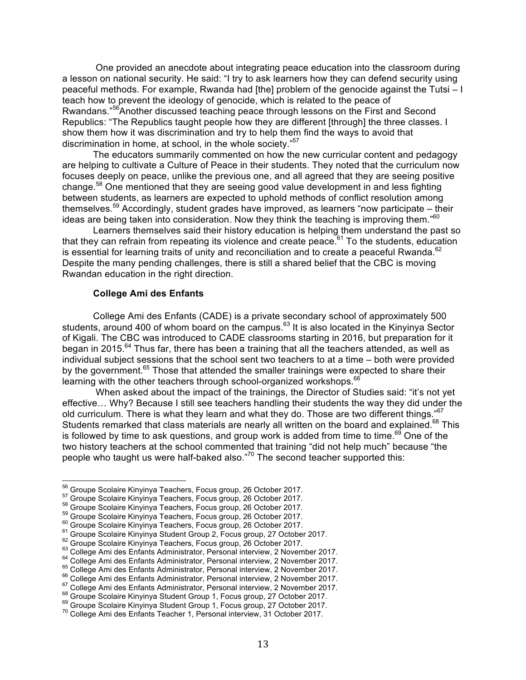One provided an anecdote about integrating peace education into the classroom during a lesson on national security. He said: "I try to ask learners how they can defend security using peaceful methods. For example, Rwanda had [the] problem of the genocide against the Tutsi – I teach how to prevent the ideology of genocide, which is related to the peace of Rwandans."56Another discussed teaching peace through lessons on the First and Second Republics: "The Republics taught people how they are different [through] the three classes. I show them how it was discrimination and try to help them find the ways to avoid that discrimination in home, at school, in the whole society."<sup>57</sup>

The educators summarily commented on how the new curricular content and pedagogy are helping to cultivate a Culture of Peace in their students. They noted that the curriculum now focuses deeply on peace, unlike the previous one, and all agreed that they are seeing positive change.<sup>58</sup> One mentioned that they are seeing good value development in and less fighting between students, as learners are expected to uphold methods of conflict resolution among themselves.<sup>59</sup> Accordingly, student grades have improved, as learners "now participate – their ideas are being taken into consideration. Now they think the teaching is improving them."<sup>60</sup>

Learners themselves said their history education is helping them understand the past so that they can refrain from repeating its violence and create peace.<sup>61</sup> To the students, education is essential for learning traits of unity and reconciliation and to create a peaceful Rwanda. $62$ Despite the many pending challenges, there is still a shared belief that the CBC is moving Rwandan education in the right direction.

#### **College Ami des Enfants**

College Ami des Enfants (CADE) is a private secondary school of approximately 500 students, around 400 of whom board on the campus.<sup>63</sup> It is also located in the Kinyinya Sector of Kigali. The CBC was introduced to CADE classrooms starting in 2016, but preparation for it began in 2015.<sup>64</sup> Thus far, there has been a training that all the teachers attended, as well as individual subject sessions that the school sent two teachers to at a time – both were provided by the government.<sup>65</sup> Those that attended the smaller trainings were expected to share their learning with the other teachers through school-organized workshops.<sup>66</sup>

When asked about the impact of the trainings, the Director of Studies said: "it's not yet effective… Why? Because I still see teachers handling their students the way they did under the old curriculum. There is what they learn and what they do. Those are two different things."<sup>67</sup> Students remarked that class materials are nearly all written on the board and explained.<sup>68</sup> This is followed by time to ask questions, and group work is added from time to time.<sup>69</sup> One of the two history teachers at the school commented that training "did not help much" because "the people who taught us were half-baked also."<sup>70</sup> The second teacher supported this:

<sup>&</sup>lt;sup>56</sup> Groupe Scolaire Kinyinya Teachers, Focus group, 26 October 2017.<br>
<sup>57</sup> Groupe Scolaire Kinyinya Teachers, Focus group, 26 October 2017.<br>
<sup>58</sup> Groupe Scolaire Kinyinya Teachers, Focus group, 26 October 2017.<br>
<sup>59</sup> Grou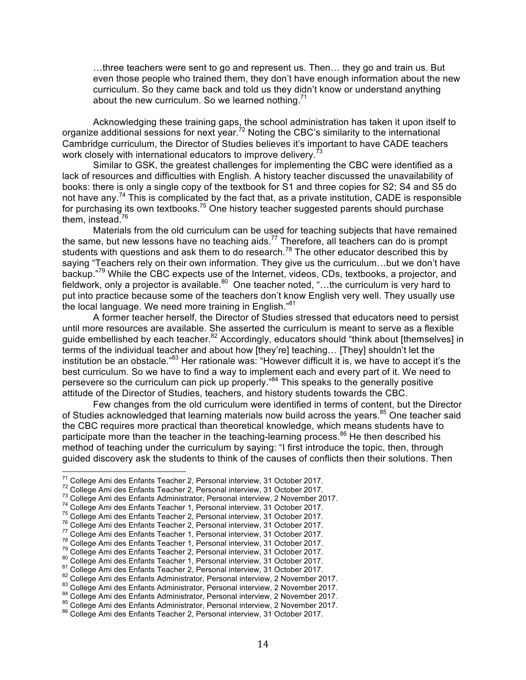…three teachers were sent to go and represent us. Then… they go and train us. But even those people who trained them, they don't have enough information about the new curriculum. So they came back and told us they didn't know or understand anything about the new curriculum. So we learned nothing.<sup>71</sup>

Acknowledging these training gaps, the school administration has taken it upon itself to organize additional sessions for next year.<sup>72</sup> Noting the CBC's similarity to the international Cambridge curriculum, the Director of Studies believes it's important to have CADE teachers work closely with international educators to improve delivery.<sup>73</sup>

Similar to GSK, the greatest challenges for implementing the CBC were identified as a lack of resources and difficulties with English. A history teacher discussed the unavailability of books: there is only a single copy of the textbook for S1 and three copies for S2; S4 and S5 do not have any.<sup>74</sup> This is complicated by the fact that, as a private institution, CADE is responsible for purchasing its own textbooks.<sup>75</sup> One history teacher suggested parents should purchase them, instead.<sup>76</sup>

Materials from the old curriculum can be used for teaching subjects that have remained the same, but new lessons have no teaching aids.<sup>77</sup> Therefore, all teachers can do is prompt students with questions and ask them to do research.<sup>78</sup> The other educator described this by saying "Teachers rely on their own information. They give us the curriculum…but we don't have backup."<sup>79</sup> While the CBC expects use of the Internet, videos, CDs, textbooks, a projector, and fieldwork, only a projector is available.<sup>80</sup> One teacher noted, "...the curriculum is very hard to put into practice because some of the teachers don't know English very well. They usually use the local language. We need more training in English."<sup>81</sup>

A former teacher herself, the Director of Studies stressed that educators need to persist until more resources are available. She asserted the curriculum is meant to serve as a flexible guide embellished by each teacher.<sup>82</sup> Accordingly, educators should "think about [themselves] in terms of the individual teacher and about how [they're] teaching… [They] shouldn't let the institution be an obstacle."83 Her rationale was: "However difficult it is, we have to accept it's the best curriculum. So we have to find a way to implement each and every part of it. We need to persevere so the curriculum can pick up properly."<sup>84</sup> This speaks to the generally positive attitude of the Director of Studies, teachers, and history students towards the CBC.

Few changes from the old curriculum were identified in terms of content, but the Director of Studies acknowledged that learning materials now build across the years.<sup>85</sup> One teacher said the CBC requires more practical than theoretical knowledge, which means students have to participate more than the teacher in the teaching-learning process. $86$  He then described his method of teaching under the curriculum by saying: "I first introduce the topic, then, through guided discovery ask the students to think of the causes of conflicts then their solutions. Then

<sup>&</sup>lt;sup>71</sup> College Ami des Enfants Teacher 2, Personal interview, 31 October 2017.<br><sup>72</sup> College Ami des Enfants Teacher 2, Personal interview, 31 October 2017.<br><sup>73</sup> College Ami des Enfants Administrator, Personal interview, 2 N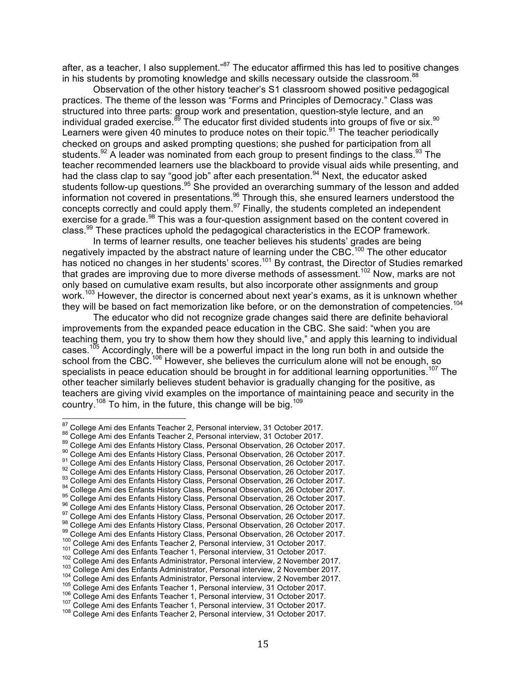after, as a teacher, I also supplement."<sup>87</sup> The educator affirmed this has led to positive changes in his students by promoting knowledge and skills necessary outside the classroom.<sup>88</sup>

Observation of the other history teacher's S1 classroom showed positive pedagogical practices. The theme of the lesson was "Forms and Principles of Democracy." Class was structured into three parts: group work and presentation, question-style lecture, and an individual graded exercise. $^{89}$  The educator first divided students into groups of five or six.<sup>90</sup> Learners were given 40 minutes to produce notes on their topic.<sup>91</sup> The teacher periodically checked on groups and asked prompting questions; she pushed for participation from all students. $92$  A leader was nominated from each group to present findings to the class.  $93$  The teacher recommended learners use the blackboard to provide visual aids while presenting, and had the class clap to say "good job" after each presentation.<sup>94</sup> Next, the educator asked students follow-up questions.<sup>95</sup> She provided an overarching summary of the lesson and added information not covered in presentations.<sup>96</sup> Through this, she ensured learners understood the concepts correctly and could apply them.<sup>97</sup> Finally, the students completed an independent exercise for a grade.<sup>98</sup> This was a four-question assignment based on the content covered in class.<sup>99</sup> These practices uphold the pedagogical characteristics in the ECOP framework.

In terms of learner results, one teacher believes his students' grades are being negatively impacted by the abstract nature of learning under the CBC.<sup>100</sup> The other educator has noticed no changes in her students' scores.<sup>101</sup> By contrast, the Director of Studies remarked that grades are improving due to more diverse methods of assessment.<sup>102</sup> Now, marks are not only based on cumulative exam results, but also incorporate other assignments and group work.<sup>103</sup> However, the director is concerned about next year's exams, as it is unknown whether they will be based on fact memorization like before, or on the demonstration of competencies.<sup>104</sup>

The educator who did not recognize grade changes said there are definite behavioral improvements from the expanded peace education in the CBC. She said: "when you are teaching them, you try to show them how they should live," and apply this learning to individual cases.<sup>105</sup> Accordingly, there will be a powerful impact in the long run both in and outside the school from the CBC.<sup>106</sup> However, she believes the curriculum alone will not be enough, so specialists in peace education should be brought in for additional learning opportunities.<sup>107</sup> The other teacher similarly believes student behavior is gradually changing for the positive, as teachers are giving vivid examples on the importance of maintaining peace and security in the country.<sup>108</sup> To him, in the future, this change will be big.<sup>109</sup>

<sup>&</sup>lt;sup>87</sup> College Ami des Enfants Teacher 2, Personal interview, 31 October 2017.<br>
<sup>89</sup> College Ami des Enfants Teacher 2, Personal interview, 31 October 2017.<br>
<sup>99</sup> College Ami des Enfants History Class, Personal Observation,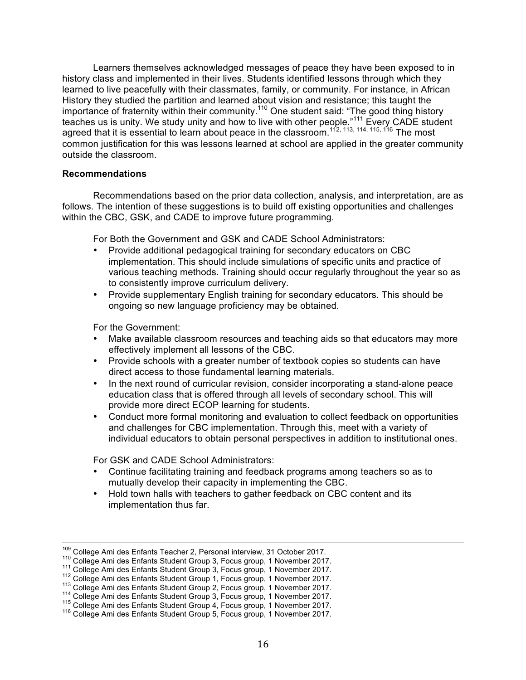Learners themselves acknowledged messages of peace they have been exposed to in history class and implemented in their lives. Students identified lessons through which they learned to live peacefully with their classmates, family, or community. For instance, in African History they studied the partition and learned about vision and resistance; this taught the importance of fraternity within their community.<sup>110</sup> One student said: "The good thing history teaches us is unity. We study unity and how to live with other people."<sup>111</sup> Every CADE student agreed that it is essential to learn about peace in the classroom.<sup>112, 113, 114, 115, 116</sup> The most common justification for this was lessons learned at school are applied in the greater community outside the classroom.

#### **Recommendations**

Recommendations based on the prior data collection, analysis, and interpretation, are as follows. The intention of these suggestions is to build off existing opportunities and challenges within the CBC, GSK, and CADE to improve future programming.

For Both the Government and GSK and CADE School Administrators:

- Provide additional pedagogical training for secondary educators on CBC implementation. This should include simulations of specific units and practice of various teaching methods. Training should occur regularly throughout the year so as to consistently improve curriculum delivery.
- Provide supplementary English training for secondary educators. This should be ongoing so new language proficiency may be obtained.

For the Government:

- Make available classroom resources and teaching aids so that educators may more effectively implement all lessons of the CBC.
- Provide schools with a greater number of textbook copies so students can have direct access to those fundamental learning materials.
- In the next round of curricular revision, consider incorporating a stand-alone peace education class that is offered through all levels of secondary school. This will provide more direct ECOP learning for students.
- Conduct more formal monitoring and evaluation to collect feedback on opportunities and challenges for CBC implementation. Through this, meet with a variety of individual educators to obtain personal perspectives in addition to institutional ones.

For GSK and CADE School Administrators:

- Continue facilitating training and feedback programs among teachers so as to mutually develop their capacity in implementing the CBC.
- Hold town halls with teachers to gather feedback on CBC content and its implementation thus far.

<sup>&</sup>lt;sup>109</sup> College Ami des Enfants Teacher 2, Personal interview, 31 October 2017.<br><sup>110</sup> College Ami des Enfants Student Group 3, Focus group, 1 November 2017.<br><sup>111</sup> College Ami des Enfants Student Group 3, Focus group, 1 Novem